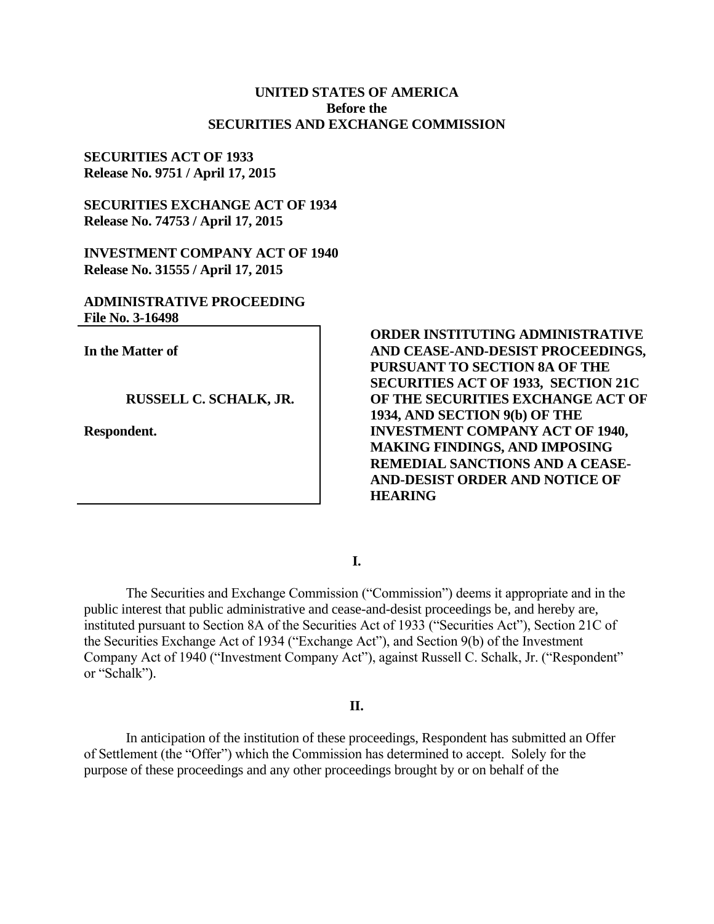# **UNITED STATES OF AMERICA Before the SECURITIES AND EXCHANGE COMMISSION**

# **SECURITIES ACT OF 1933 Release No. 9751 / April 17, 2015**

**SECURITIES EXCHANGE ACT OF 1934 Release No. 74753 / April 17, 2015**

**INVESTMENT COMPANY ACT OF 1940 Release No. 31555 / April 17, 2015**

# **ADMINISTRATIVE PROCEEDING File No. 3-16498**

**In the Matter of**

# **RUSSELL C. SCHALK, JR.**

**Respondent.**

**ORDER INSTITUTING ADMINISTRATIVE AND CEASE-AND-DESIST PROCEEDINGS, PURSUANT TO SECTION 8A OF THE SECURITIES ACT OF 1933, SECTION 21C OF THE SECURITIES EXCHANGE ACT OF 1934, AND SECTION 9(b) OF THE INVESTMENT COMPANY ACT OF 1940, MAKING FINDINGS, AND IMPOSING REMEDIAL SANCTIONS AND A CEASE-AND-DESIST ORDER AND NOTICE OF HEARING**

**I.**

The Securities and Exchange Commission ("Commission") deems it appropriate and in the public interest that public administrative and cease-and-desist proceedings be, and hereby are, instituted pursuant to Section 8A of the Securities Act of 1933 ("Securities Act"), Section 21C of the Securities Exchange Act of 1934 ("Exchange Act"), and Section 9(b) of the Investment Company Act of 1940 ("Investment Company Act"), against Russell C. Schalk, Jr. ("Respondent" or "Schalk").

## **II.**

In anticipation of the institution of these proceedings, Respondent has submitted an Offer of Settlement (the "Offer") which the Commission has determined to accept. Solely for the purpose of these proceedings and any other proceedings brought by or on behalf of the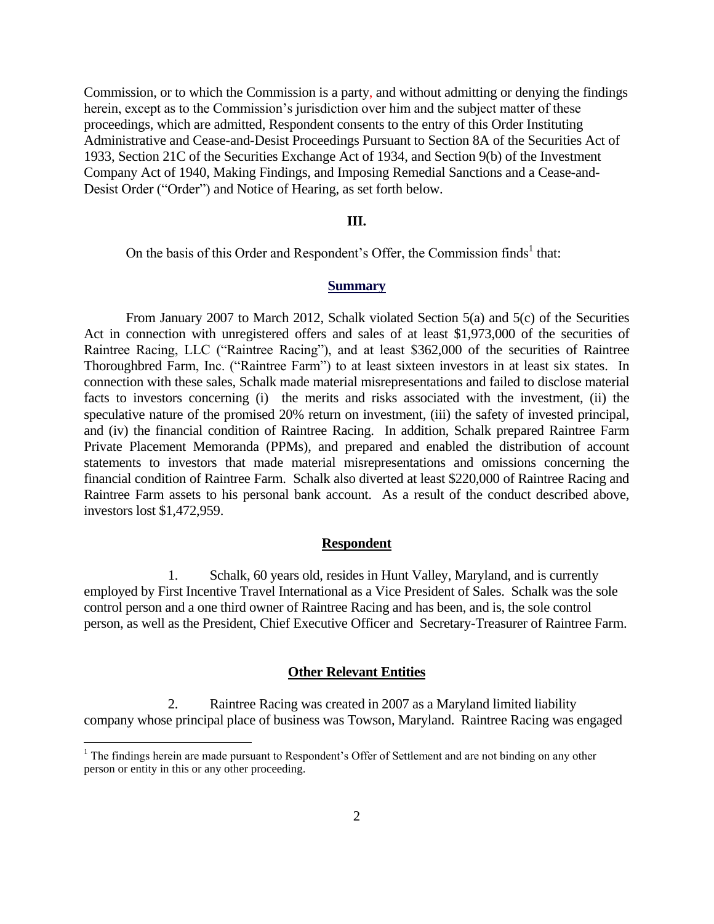Commission, or to which the Commission is a party, and without admitting or denying the findings herein, except as to the Commission's jurisdiction over him and the subject matter of these proceedings, which are admitted, Respondent consents to the entry of this Order Instituting Administrative and Cease-and-Desist Proceedings Pursuant to Section 8A of the Securities Act of 1933, Section 21C of the Securities Exchange Act of 1934, and Section 9(b) of the Investment Company Act of 1940, Making Findings, and Imposing Remedial Sanctions and a Cease-and-Desist Order ("Order") and Notice of Hearing, as set forth below.

## **III.**

On the basis of this Order and Respondent's Offer, the Commission finds<sup>1</sup> that:

#### **Summary**

From January 2007 to March 2012, Schalk violated Section 5(a) and 5(c) of the Securities Act in connection with unregistered offers and sales of at least \$1,973,000 of the securities of Raintree Racing, LLC ("Raintree Racing"), and at least \$362,000 of the securities of Raintree Thoroughbred Farm, Inc. ("Raintree Farm") to at least sixteen investors in at least six states. In connection with these sales, Schalk made material misrepresentations and failed to disclose material facts to investors concerning (i) the merits and risks associated with the investment, (ii) the speculative nature of the promised 20% return on investment, (iii) the safety of invested principal, and (iv) the financial condition of Raintree Racing. In addition, Schalk prepared Raintree Farm Private Placement Memoranda (PPMs), and prepared and enabled the distribution of account statements to investors that made material misrepresentations and omissions concerning the financial condition of Raintree Farm. Schalk also diverted at least \$220,000 of Raintree Racing and Raintree Farm assets to his personal bank account. As a result of the conduct described above, investors lost \$1,472,959.

## **Respondent**

1. Schalk, 60 years old, resides in Hunt Valley, Maryland, and is currently employed by First Incentive Travel International as a Vice President of Sales. Schalk was the sole control person and a one third owner of Raintree Racing and has been, and is, the sole control person, as well as the President, Chief Executive Officer and Secretary-Treasurer of Raintree Farm.

### **Other Relevant Entities**

2. Raintree Racing was created in 2007 as a Maryland limited liability company whose principal place of business was Towson, Maryland. Raintree Racing was engaged

<sup>&</sup>lt;sup>1</sup> The findings herein are made pursuant to Respondent's Offer of Settlement and are not binding on any other person or entity in this or any other proceeding.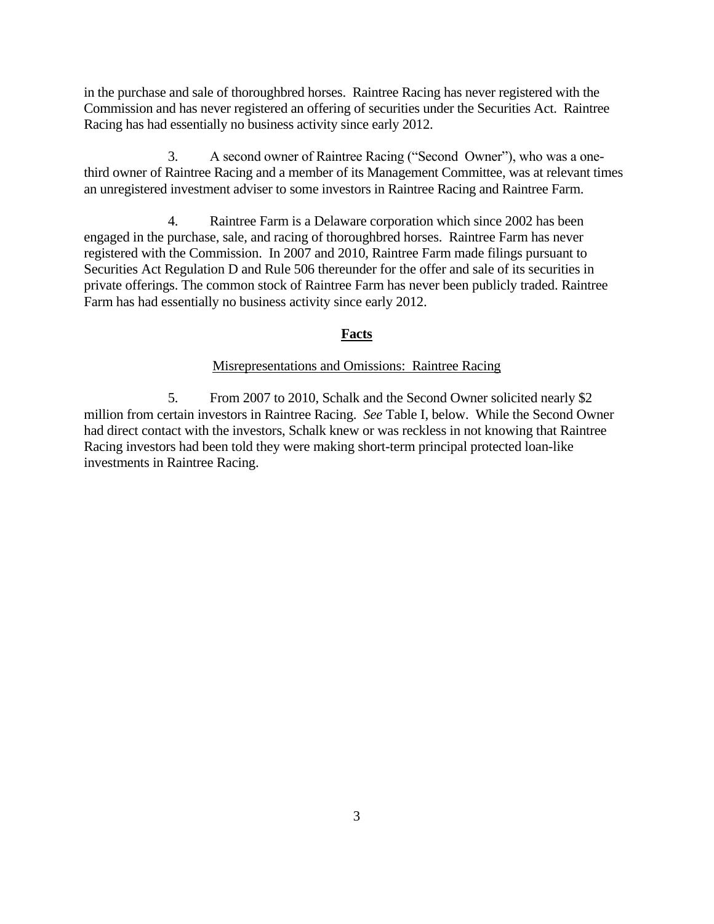in the purchase and sale of thoroughbred horses. Raintree Racing has never registered with the Commission and has never registered an offering of securities under the Securities Act. Raintree Racing has had essentially no business activity since early 2012.

3. A second owner of Raintree Racing ("Second Owner"), who was a onethird owner of Raintree Racing and a member of its Management Committee, was at relevant times an unregistered investment adviser to some investors in Raintree Racing and Raintree Farm.

4. Raintree Farm is a Delaware corporation which since 2002 has been engaged in the purchase, sale, and racing of thoroughbred horses. Raintree Farm has never registered with the Commission. In 2007 and 2010, Raintree Farm made filings pursuant to Securities Act Regulation D and Rule 506 thereunder for the offer and sale of its securities in private offerings. The common stock of Raintree Farm has never been publicly traded. Raintree Farm has had essentially no business activity since early 2012.

# **Facts**

## Misrepresentations and Omissions: Raintree Racing

5. From 2007 to 2010, Schalk and the Second Owner solicited nearly \$2 million from certain investors in Raintree Racing. *See* Table I, below. While the Second Owner had direct contact with the investors, Schalk knew or was reckless in not knowing that Raintree Racing investors had been told they were making short-term principal protected loan-like investments in Raintree Racing.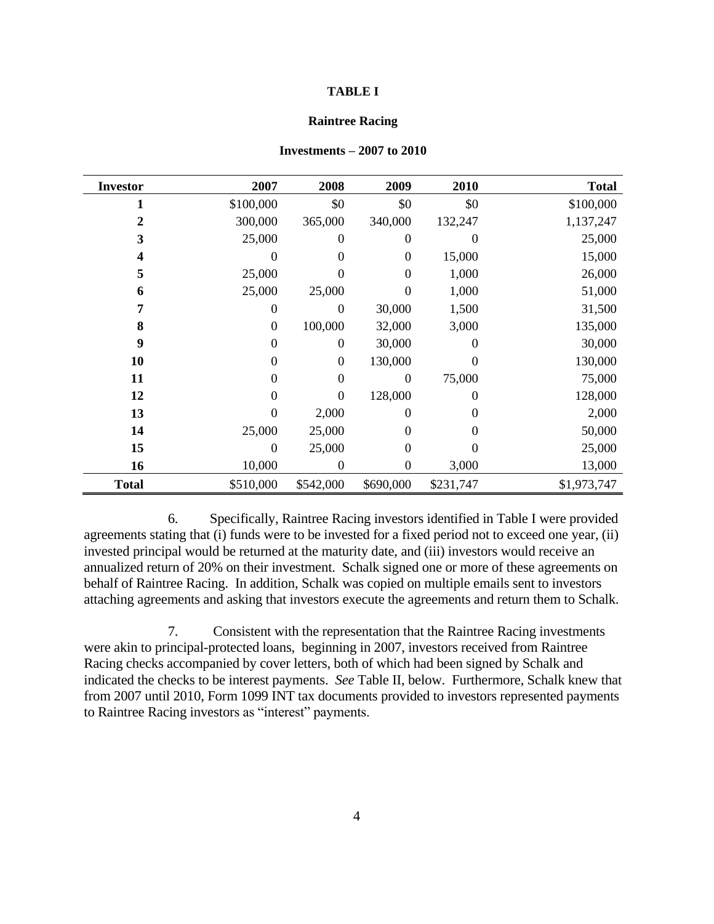#### **TABLE I**

#### **Raintree Racing**

| <b>Investor</b> | 2007           | 2008           | 2009           | 2010           | <b>Total</b> |
|-----------------|----------------|----------------|----------------|----------------|--------------|
|                 | \$100,000      | \$0            | \$0            | \$0            | \$100,000    |
| 2               | 300,000        | 365,000        | 340,000        | 132,247        | 1,137,247    |
| 3               | 25,000         | 0              | 0              | 0              | 25,000       |
| 4               | 0              | $\Omega$       | $\theta$       | 15,000         | 15,000       |
| 5               | 25,000         | 0              | $\overline{0}$ | 1,000          | 26,000       |
| 6               | 25,000         | 25,000         | $\theta$       | 1,000          | 51,000       |
| 7               | 0              | $\theta$       | 30,000         | 1,500          | 31,500       |
| 8               | $\Omega$       | 100,000        | 32,000         | 3,000          | 135,000      |
| 9               | $\overline{0}$ | 0              | 30,000         | $\overline{0}$ | 30,000       |
| 10              | $\overline{0}$ | $\overline{0}$ | 130,000        | $\theta$       | 130,000      |
| 11              | $\Omega$       | $\theta$       | 0              | 75,000         | 75,000       |
| 12              | $\Omega$       | $\overline{0}$ | 128,000        | $\overline{0}$ | 128,000      |
| 13              | 0              | 2,000          | 0              | $\overline{0}$ | 2,000        |
| 14              | 25,000         | 25,000         | $\Omega$       | $\overline{0}$ | 50,000       |
| 15              | 0              | 25,000         | $\theta$       | $\theta$       | 25,000       |
| 16              | 10,000         | 0              | 0              | 3,000          | 13,000       |
| <b>Total</b>    | \$510,000      | \$542,000      | \$690,000      | \$231,747      | \$1,973,747  |

#### **Investments – 2007 to 2010**

6. Specifically, Raintree Racing investors identified in Table I were provided agreements stating that (i) funds were to be invested for a fixed period not to exceed one year, (ii) invested principal would be returned at the maturity date, and (iii) investors would receive an annualized return of 20% on their investment. Schalk signed one or more of these agreements on behalf of Raintree Racing. In addition, Schalk was copied on multiple emails sent to investors attaching agreements and asking that investors execute the agreements and return them to Schalk.

7. Consistent with the representation that the Raintree Racing investments were akin to principal-protected loans, beginning in 2007, investors received from Raintree Racing checks accompanied by cover letters, both of which had been signed by Schalk and indicated the checks to be interest payments. *See* Table II, below. Furthermore, Schalk knew that from 2007 until 2010, Form 1099 INT tax documents provided to investors represented payments to Raintree Racing investors as "interest" payments.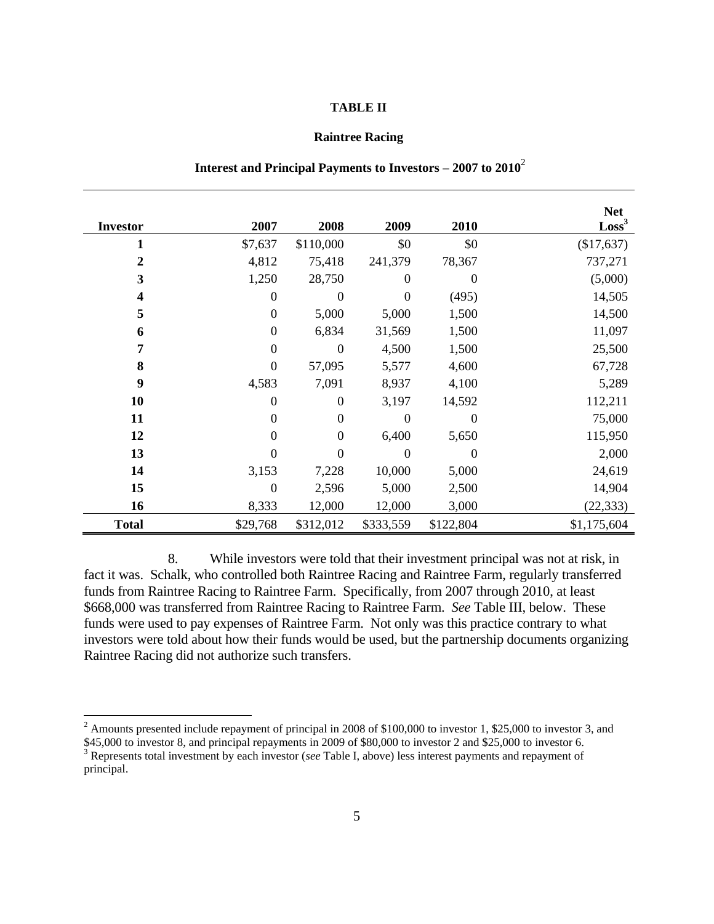### **TABLE II**

### **Raintree Racing**

|                         |                  |                  |                |           | <b>Net</b>      |
|-------------------------|------------------|------------------|----------------|-----------|-----------------|
| <b>Investor</b>         | 2007             | 2008             | 2009           | 2010      | $\text{Loss}^3$ |
| 1                       | \$7,637          | \$110,000        | \$0            | \$0       | (\$17,637)      |
| 2                       | 4,812            | 75,418           | 241,379        | 78,367    | 737,271         |
| 3                       | 1,250            | 28,750           | 0              | $\theta$  | (5,000)         |
| $\overline{\mathbf{4}}$ | $\Omega$         | $\Omega$         | $\overline{0}$ | (495)     | 14,505          |
| 5                       | $\mathbf{0}$     | 5,000            | 5,000          | 1,500     | 14,500          |
| 6                       | $\mathbf{0}$     | 6,834            | 31,569         | 1,500     | 11,097          |
| 7                       | $\overline{0}$   | $\theta$         | 4,500          | 1,500     | 25,500          |
| 8                       | $\theta$         | 57,095           | 5,577          | 4,600     | 67,728          |
| 9                       | 4,583            | 7,091            | 8,937          | 4,100     | 5,289           |
| 10                      | $\boldsymbol{0}$ | $\boldsymbol{0}$ | 3,197          | 14,592    | 112,211         |
| 11                      | $\boldsymbol{0}$ | $\Omega$         | $\overline{0}$ | $\theta$  | 75,000          |
| 12                      | $\theta$         | $\Omega$         | 6,400          | 5,650     | 115,950         |
| 13                      | $\Omega$         | $\Omega$         | $\Omega$       | 0         | 2,000           |
| 14                      | 3,153            | 7,228            | 10,000         | 5,000     | 24,619          |
| 15                      | $\theta$         | 2,596            | 5,000          | 2,500     | 14,904          |
| 16                      | 8,333            | 12,000           | 12,000         | 3,000     | (22, 333)       |
| <b>Total</b>            | \$29,768         | \$312,012        | \$333,559      | \$122,804 | \$1,175,604     |

# **Interest and Principal Payments to Investors – 2007 to 2010**<sup>2</sup>

8. While investors were told that their investment principal was not at risk, in fact it was. Schalk, who controlled both Raintree Racing and Raintree Farm, regularly transferred funds from Raintree Racing to Raintree Farm. Specifically, from 2007 through 2010, at least \$668,000 was transferred from Raintree Racing to Raintree Farm. *See* Table III, below. These funds were used to pay expenses of Raintree Farm. Not only was this practice contrary to what investors were told about how their funds would be used, but the partnership documents organizing Raintree Racing did not authorize such transfers.

 $2 \text{ Amounts presented include repayment of principal in 2008 of $100,000 to investor 1, $25,000 to investor 3, and}$ \$45,000 to investor 8, and principal repayments in 2009 of \$80,000 to investor 2 and \$25,000 to investor 6.

<sup>3</sup> Represents total investment by each investor (*see* Table I, above) less interest payments and repayment of principal.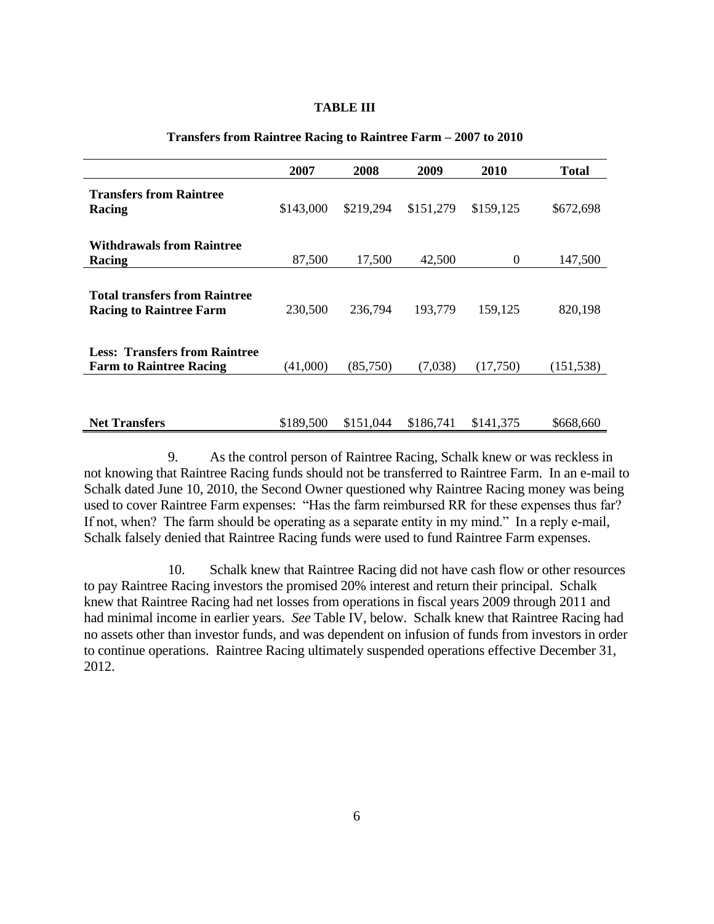### **TABLE III**

|                                                                        | 2007      | 2008      | 2009      | <b>2010</b>    | <b>Total</b> |
|------------------------------------------------------------------------|-----------|-----------|-----------|----------------|--------------|
| <b>Transfers from Raintree</b><br>Racing                               | \$143,000 | \$219,294 | \$151,279 | \$159,125      | \$672,698    |
| <b>Withdrawals from Raintree</b><br>Racing                             | 87,500    | 17,500    | 42,500    | $\overline{0}$ | 147,500      |
| <b>Total transfers from Raintree</b><br><b>Racing to Raintree Farm</b> | 230,500   | 236,794   | 193,779   | 159,125        | 820,198      |
| <b>Less: Transfers from Raintree</b><br><b>Farm to Raintree Racing</b> | (41,000)  | (85,750)  | (7,038)   | (17,750)       | (151, 538)   |
| <b>Net Transfers</b>                                                   | \$189,500 | \$151,044 | \$186,741 | \$141.375      | \$668,660    |

# **Transfers from Raintree Racing to Raintree Farm – 2007 to 2010**

9. As the control person of Raintree Racing, Schalk knew or was reckless in not knowing that Raintree Racing funds should not be transferred to Raintree Farm. In an e-mail to Schalk dated June 10, 2010, the Second Owner questioned why Raintree Racing money was being used to cover Raintree Farm expenses: "Has the farm reimbursed RR for these expenses thus far? If not, when? The farm should be operating as a separate entity in my mind." In a reply e-mail, Schalk falsely denied that Raintree Racing funds were used to fund Raintree Farm expenses.

10. Schalk knew that Raintree Racing did not have cash flow or other resources to pay Raintree Racing investors the promised 20% interest and return their principal. Schalk knew that Raintree Racing had net losses from operations in fiscal years 2009 through 2011 and had minimal income in earlier years. *See* Table IV, below. Schalk knew that Raintree Racing had no assets other than investor funds, and was dependent on infusion of funds from investors in order to continue operations. Raintree Racing ultimately suspended operations effective December 31, 2012.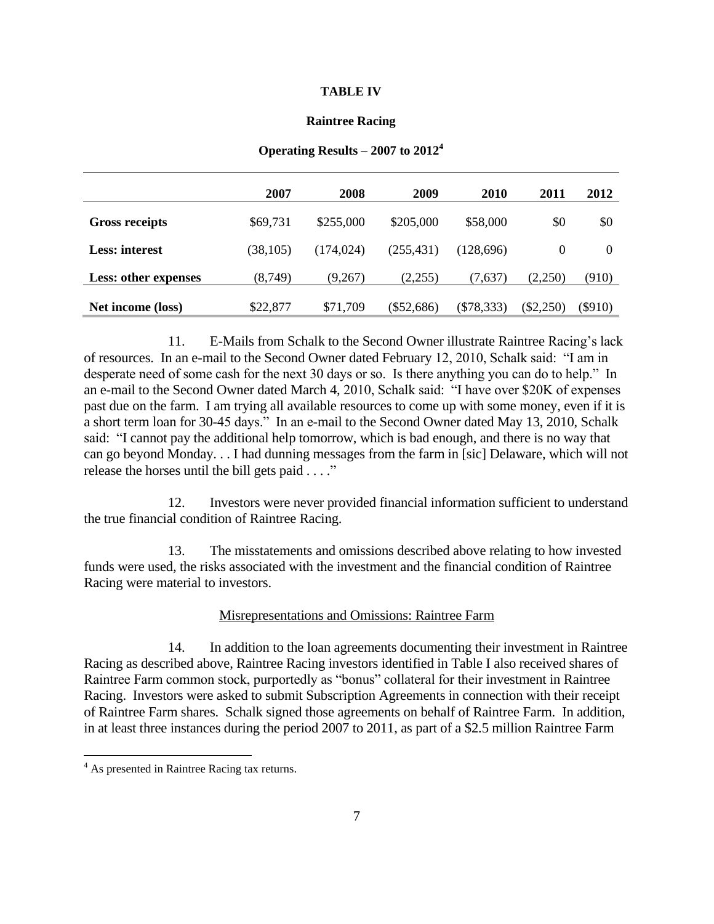### **TABLE IV**

### **Raintree Racing**

|                             | 2007      | 2008       | 2009         | 2010         | 2011        | 2012      |
|-----------------------------|-----------|------------|--------------|--------------|-------------|-----------|
| <b>Gross receipts</b>       | \$69,731  | \$255,000  | \$205,000    | \$58,000     | \$0         | \$0       |
| <b>Less:</b> interest       | (38, 105) | (174, 024) | (255, 431)   | (128,696)    | $\Omega$    | $\Omega$  |
| <b>Less: other expenses</b> | (8, 749)  | (9,267)    | (2,255)      | (7,637)      | (2,250)     | (910)     |
| Net income (loss)           | \$22,877  | \$71,709   | $(\$52,686)$ | $(\$78,333)$ | $(\$2,250)$ | $(\$910)$ |

### **Operating Results – 2007 to 2012<sup>4</sup>**

11. E-Mails from Schalk to the Second Owner illustrate Raintree Racing's lack of resources. In an e-mail to the Second Owner dated February 12, 2010, Schalk said: "I am in desperate need of some cash for the next 30 days or so. Is there anything you can do to help." In an e-mail to the Second Owner dated March 4, 2010, Schalk said: "I have over \$20K of expenses past due on the farm. I am trying all available resources to come up with some money, even if it is a short term loan for 30-45 days." In an e-mail to the Second Owner dated May 13, 2010, Schalk said: "I cannot pay the additional help tomorrow, which is bad enough, and there is no way that can go beyond Monday. . . I had dunning messages from the farm in [sic] Delaware, which will not release the horses until the bill gets paid . . . ."

12. Investors were never provided financial information sufficient to understand the true financial condition of Raintree Racing.

13. The misstatements and omissions described above relating to how invested funds were used, the risks associated with the investment and the financial condition of Raintree Racing were material to investors.

## Misrepresentations and Omissions: Raintree Farm

14. In addition to the loan agreements documenting their investment in Raintree Racing as described above, Raintree Racing investors identified in Table I also received shares of Raintree Farm common stock, purportedly as "bonus" collateral for their investment in Raintree Racing. Investors were asked to submit Subscription Agreements in connection with their receipt of Raintree Farm shares. Schalk signed those agreements on behalf of Raintree Farm. In addition, in at least three instances during the period 2007 to 2011, as part of a \$2.5 million Raintree Farm

 $4$  As presented in Raintree Racing tax returns.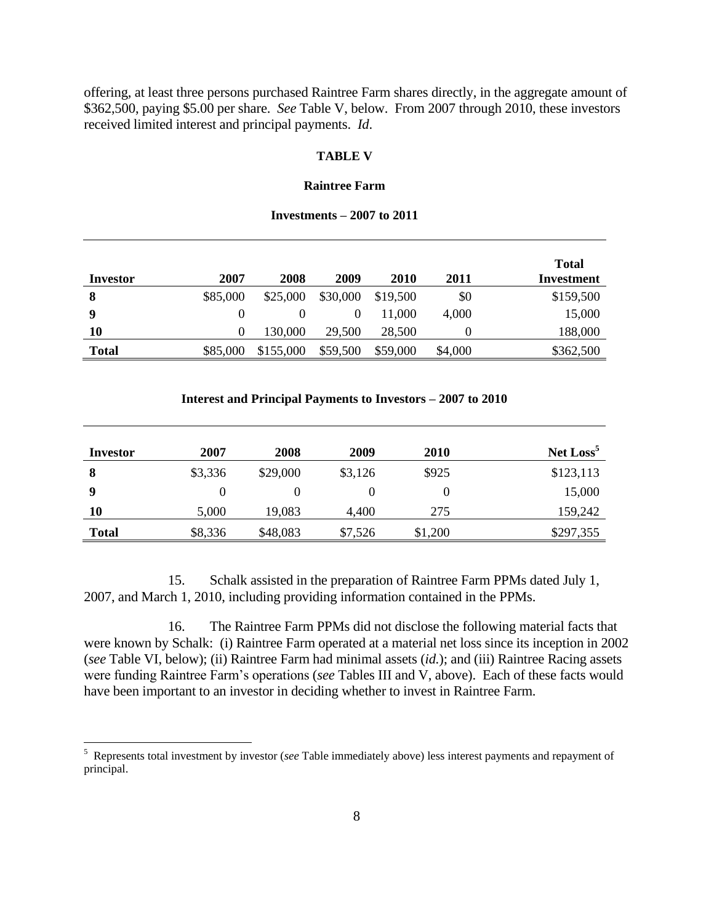offering, at least three persons purchased Raintree Farm shares directly, in the aggregate amount of \$362,500, paying \$5.00 per share. *See* Table V, below. From 2007 through 2010, these investors received limited interest and principal payments. *Id*.

## **TABLE V**

## **Raintree Farm**

### **Investments – 2007 to 2011**

| Investor     | 2007     | 2008      | 2009     | <b>2010</b> | 2011    | <b>Total</b><br>Investment |
|--------------|----------|-----------|----------|-------------|---------|----------------------------|
| 8            | \$85,000 | \$25,000  | \$30,000 | \$19,500    | \$0     | \$159,500                  |
| 9            |          |           |          | 11,000      | 4,000   | 15,000                     |
| 10           | $\theta$ | 130,000   | 29,500   | 28,500      |         | 188,000                    |
| <b>Total</b> | \$85,000 | \$155,000 | \$59,500 | \$59,000    | \$4,000 | \$362,500                  |

### **Interest and Principal Payments to Investors – 2007 to 2010**

| Investor     | 2007    | 2008     | 2009    | 2010    | Net Loss <sup>5</sup> |
|--------------|---------|----------|---------|---------|-----------------------|
| 8            | \$3,336 | \$29,000 | \$3,126 | \$925   | \$123,113             |
| -9           | 0       |          |         |         | 15,000                |
| 10           | 5,000   | 19,083   | 4,400   | 275     | 159,242               |
| <b>Total</b> | \$8,336 | \$48,083 | \$7,526 | \$1,200 | \$297,355             |

15. Schalk assisted in the preparation of Raintree Farm PPMs dated July 1, 2007, and March 1, 2010, including providing information contained in the PPMs.

16. The Raintree Farm PPMs did not disclose the following material facts that were known by Schalk: (i) Raintree Farm operated at a material net loss since its inception in 2002 (*see* Table VI, below); (ii) Raintree Farm had minimal assets (*id.*); and (iii) Raintree Racing assets were funding Raintree Farm's operations (*see* Tables III and V, above). Each of these facts would have been important to an investor in deciding whether to invest in Raintree Farm.

<sup>5</sup> Represents total investment by investor (*see* Table immediately above) less interest payments and repayment of principal.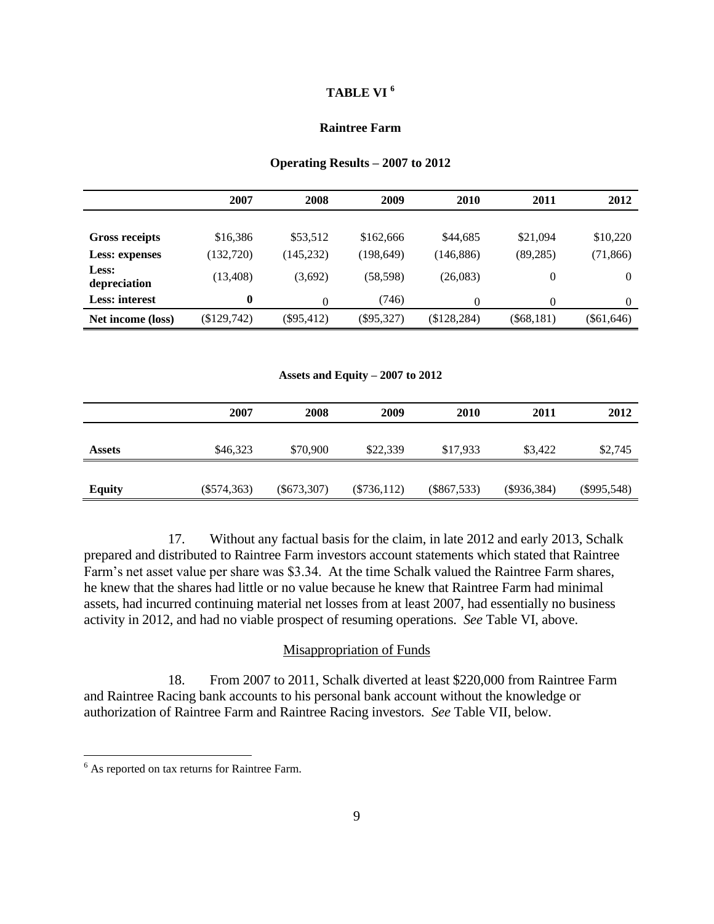## **TABLE VI <sup>6</sup>**

## **Raintree Farm**

### **Operating Results – 2007 to 2012**

|                       | 2007             | 2008         | 2009         | <b>2010</b>  | 2011         | 2012         |
|-----------------------|------------------|--------------|--------------|--------------|--------------|--------------|
|                       |                  |              |              |              |              |              |
| <b>Gross receipts</b> | \$16,386         | \$53,512     | \$162,666    | \$44,685     | \$21,094     | \$10,220     |
| Less: expenses        | (132,720)        | (145, 232)   | (198, 649)   | (146, 886)   | (89, 285)    | (71, 866)    |
| Less:<br>depreciation | (13, 408)        | (3,692)      | (58, 598)    | (26,083)     | 0            | $\theta$     |
| <b>Less:</b> interest | $\boldsymbol{0}$ | $\theta$     | (746)        |              | 0            | 0            |
| Net income (loss)     | $(\$129,742)$    | $(\$95,412)$ | $(\$95,327)$ | (\$128, 284) | $(\$68,181)$ | $(\$61,646)$ |

**Assets and Equity – 2007 to 2012**

|               | 2007          | 2008          | 2009          | <b>2010</b>   | 2011          | 2012          |
|---------------|---------------|---------------|---------------|---------------|---------------|---------------|
| <b>Assets</b> | \$46,323      | \$70,900      | \$22,339      | \$17,933      | \$3,422       | \$2,745       |
| <b>Equity</b> | $(\$574,363)$ | $(\$673,307)$ | $(\$736,112)$ | $(\$867,533)$ | $(\$936,384)$ | $(\$995,548)$ |

17. Without any factual basis for the claim, in late 2012 and early 2013, Schalk prepared and distributed to Raintree Farm investors account statements which stated that Raintree Farm's net asset value per share was \$3.34. At the time Schalk valued the Raintree Farm shares, he knew that the shares had little or no value because he knew that Raintree Farm had minimal assets, had incurred continuing material net losses from at least 2007, had essentially no business activity in 2012, and had no viable prospect of resuming operations. *See* Table VI, above.

### Misappropriation of Funds

18. From 2007 to 2011, Schalk diverted at least \$220,000 from Raintree Farm and Raintree Racing bank accounts to his personal bank account without the knowledge or authorization of Raintree Farm and Raintree Racing investors*. See* Table VII, below.

 $6$  As reported on tax returns for Raintree Farm.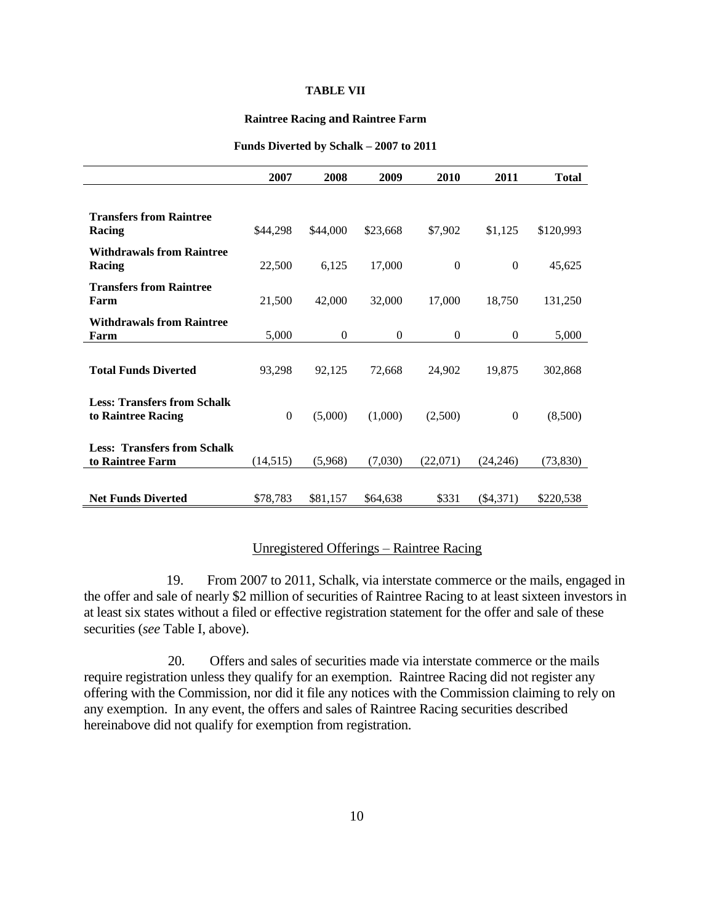### **TABLE VII**

#### **Raintree Racing and Raintree Farm**

|                                                          | 2007             | 2008         | 2009     | 2010     | 2011             | <b>Total</b> |
|----------------------------------------------------------|------------------|--------------|----------|----------|------------------|--------------|
|                                                          |                  |              |          |          |                  |              |
| <b>Transfers from Raintree</b><br>Racing                 | \$44,298         | \$44,000     | \$23,668 | \$7,902  | \$1,125          | \$120,993    |
| <b>Withdrawals from Raintree</b><br>Racing               | 22,500           | 6,125        | 17,000   | $\Omega$ | $\overline{0}$   | 45,625       |
| <b>Transfers from Raintree</b><br>Farm                   | 21,500           | 42,000       | 32,000   | 17,000   | 18,750           | 131,250      |
| <b>Withdrawals from Raintree</b><br>Farm                 | 5,000            | $\mathbf{0}$ | $\Omega$ | $\Omega$ | $\theta$         | 5,000        |
| <b>Total Funds Diverted</b>                              | 93,298           | 92,125       | 72,668   | 24,902   | 19,875           | 302,868      |
| <b>Less: Transfers from Schalk</b><br>to Raintree Racing | $\boldsymbol{0}$ | (5,000)      | (1,000)  | (2,500)  | $\boldsymbol{0}$ | (8,500)      |
| <b>Less: Transfers from Schalk</b><br>to Raintree Farm   | (14, 515)        | (5,968)      | (7,030)  | (22,071) | (24, 246)        | (73, 830)    |
| <b>Net Funds Diverted</b>                                | \$78,783         | \$81,157     | \$64,638 | \$331    | $(\$4,371)$      | \$220,538    |

#### **Funds Diverted by Schalk – 2007 to 2011**

# Unregistered Offerings – Raintree Racing

 19. From 2007 to 2011, Schalk, via interstate commerce or the mails, engaged in the offer and sale of nearly \$2 million of securities of Raintree Racing to at least sixteen investors in at least six states without a filed or effective registration statement for the offer and sale of these securities (*see* Table I, above).

20. Offers and sales of securities made via interstate commerce or the mails require registration unless they qualify for an exemption. Raintree Racing did not register any offering with the Commission, nor did it file any notices with the Commission claiming to rely on any exemption. In any event, the offers and sales of Raintree Racing securities described hereinabove did not qualify for exemption from registration.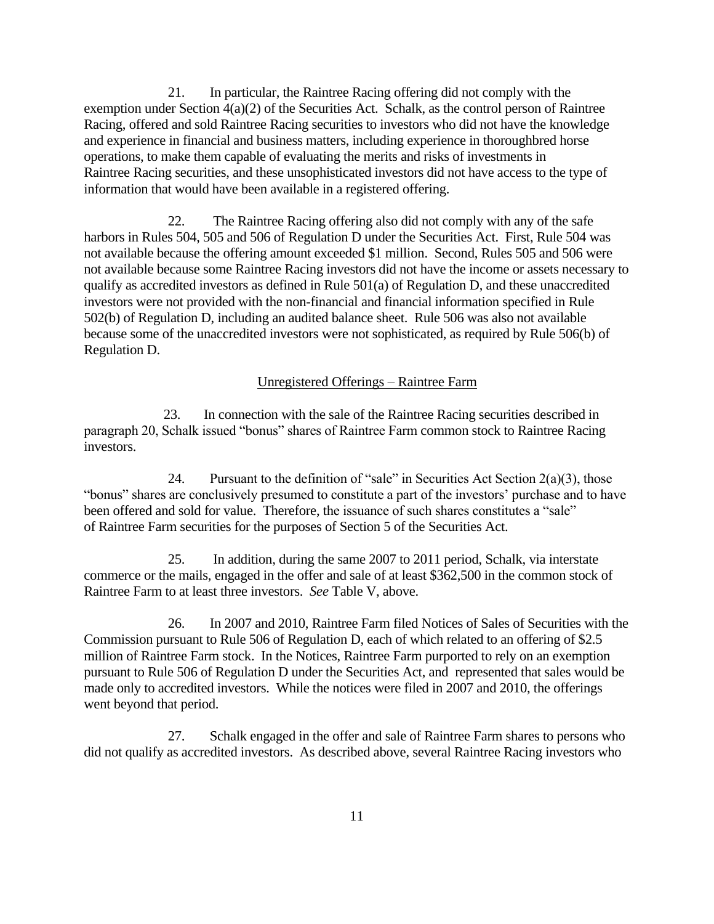21. In particular, the Raintree Racing offering did not comply with the exemption under Section 4(a)(2) of the Securities Act. Schalk, as the control person of Raintree Racing, offered and sold Raintree Racing securities to investors who did not have the knowledge and experience in financial and business matters, including experience in thoroughbred horse operations, to make them capable of evaluating the merits and risks of investments in Raintree Racing securities, and these unsophisticated investors did not have access to the type of information that would have been available in a registered offering.

22. The Raintree Racing offering also did not comply with any of the safe harbors in Rules 504, 505 and 506 of Regulation D under the Securities Act. First, Rule 504 was not available because the offering amount exceeded \$1 million. Second, Rules 505 and 506 were not available because some Raintree Racing investors did not have the income or assets necessary to qualify as accredited investors as defined in Rule 501(a) of Regulation D, and these unaccredited investors were not provided with the non-financial and financial information specified in Rule 502(b) of Regulation D, including an audited balance sheet. Rule 506 was also not available because some of the unaccredited investors were not sophisticated, as required by Rule 506(b) of Regulation D.

### Unregistered Offerings – Raintree Farm

 23. In connection with the sale of the Raintree Racing securities described in paragraph 20, Schalk issued "bonus" shares of Raintree Farm common stock to Raintree Racing investors.

24. Pursuant to the definition of "sale" in Securities Act Section  $2(a)(3)$ , those "bonus" shares are conclusively presumed to constitute a part of the investors' purchase and to have been offered and sold for value. Therefore, the issuance of such shares constitutes a "sale" of Raintree Farm securities for the purposes of Section 5 of the Securities Act.

25. In addition, during the same 2007 to 2011 period, Schalk, via interstate commerce or the mails, engaged in the offer and sale of at least \$362,500 in the common stock of Raintree Farm to at least three investors. *See* Table V, above.

26. In 2007 and 2010, Raintree Farm filed Notices of Sales of Securities with the Commission pursuant to Rule 506 of Regulation D, each of which related to an offering of \$2.5 million of Raintree Farm stock. In the Notices, Raintree Farm purported to rely on an exemption pursuant to Rule 506 of Regulation D under the Securities Act, and represented that sales would be made only to accredited investors. While the notices were filed in 2007 and 2010, the offerings went beyond that period.

27. Schalk engaged in the offer and sale of Raintree Farm shares to persons who did not qualify as accredited investors. As described above, several Raintree Racing investors who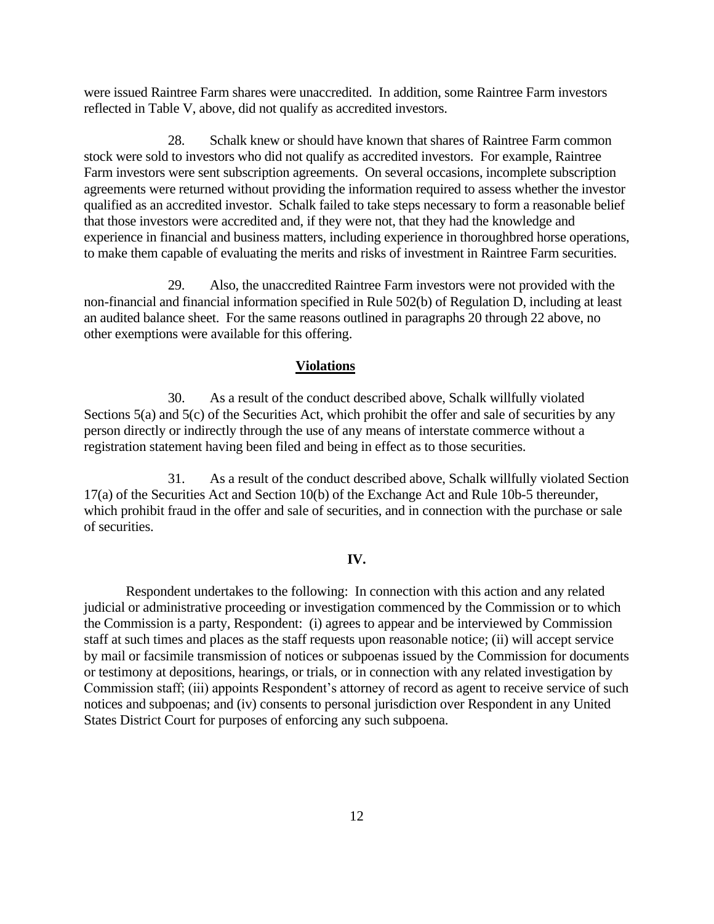were issued Raintree Farm shares were unaccredited. In addition, some Raintree Farm investors reflected in Table V, above, did not qualify as accredited investors.

28. Schalk knew or should have known that shares of Raintree Farm common stock were sold to investors who did not qualify as accredited investors. For example, Raintree Farm investors were sent subscription agreements. On several occasions, incomplete subscription agreements were returned without providing the information required to assess whether the investor qualified as an accredited investor. Schalk failed to take steps necessary to form a reasonable belief that those investors were accredited and, if they were not, that they had the knowledge and experience in financial and business matters, including experience in thoroughbred horse operations, to make them capable of evaluating the merits and risks of investment in Raintree Farm securities.

29. Also, the unaccredited Raintree Farm investors were not provided with the non-financial and financial information specified in Rule 502(b) of Regulation D, including at least an audited balance sheet. For the same reasons outlined in paragraphs 20 through 22 above, no other exemptions were available for this offering.

## **Violations**

30. As a result of the conduct described above, Schalk willfully violated Sections 5(a) and 5(c) of the Securities Act, which prohibit the offer and sale of securities by any person directly or indirectly through the use of any means of interstate commerce without a registration statement having been filed and being in effect as to those securities.

31. As a result of the conduct described above, Schalk willfully violated Section 17(a) of the Securities Act and Section 10(b) of the Exchange Act and Rule 10b-5 thereunder, which prohibit fraud in the offer and sale of securities, and in connection with the purchase or sale of securities.

### **IV.**

Respondent undertakes to the following: In connection with this action and any related judicial or administrative proceeding or investigation commenced by the Commission or to which the Commission is a party, Respondent: (i) agrees to appear and be interviewed by Commission staff at such times and places as the staff requests upon reasonable notice; (ii) will accept service by mail or facsimile transmission of notices or subpoenas issued by the Commission for documents or testimony at depositions, hearings, or trials, or in connection with any related investigation by Commission staff; (iii) appoints Respondent's attorney of record as agent to receive service of such notices and subpoenas; and (iv) consents to personal jurisdiction over Respondent in any United States District Court for purposes of enforcing any such subpoena.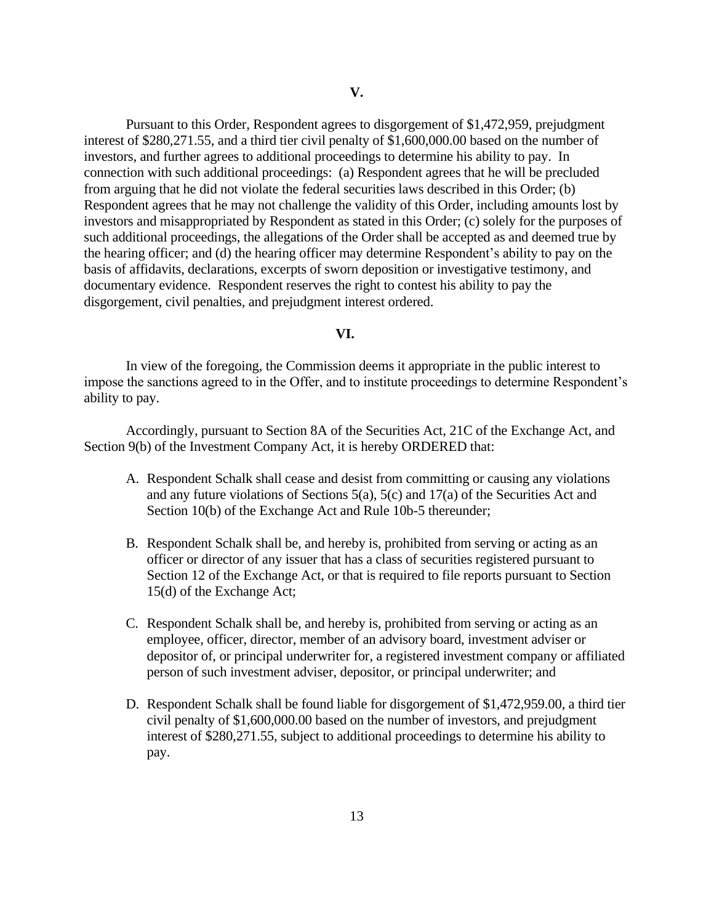Pursuant to this Order, Respondent agrees to disgorgement of \$1,472,959, prejudgment interest of \$280,271.55, and a third tier civil penalty of \$1,600,000.00 based on the number of investors, and further agrees to additional proceedings to determine his ability to pay. In connection with such additional proceedings: (a) Respondent agrees that he will be precluded from arguing that he did not violate the federal securities laws described in this Order; (b) Respondent agrees that he may not challenge the validity of this Order, including amounts lost by investors and misappropriated by Respondent as stated in this Order; (c) solely for the purposes of such additional proceedings, the allegations of the Order shall be accepted as and deemed true by the hearing officer; and (d) the hearing officer may determine Respondent's ability to pay on the basis of affidavits, declarations, excerpts of sworn deposition or investigative testimony, and documentary evidence. Respondent reserves the right to contest his ability to pay the disgorgement, civil penalties, and prejudgment interest ordered.

## **VI.**

In view of the foregoing, the Commission deems it appropriate in the public interest to impose the sanctions agreed to in the Offer, and to institute proceedings to determine Respondent's ability to pay.

Accordingly, pursuant to Section 8A of the Securities Act, 21C of the Exchange Act, and Section 9(b) of the Investment Company Act, it is hereby ORDERED that:

- A. Respondent Schalk shall cease and desist from committing or causing any violations and any future violations of Sections 5(a), 5(c) and 17(a) of the Securities Act and Section 10(b) of the Exchange Act and Rule 10b-5 thereunder;
- B. Respondent Schalk shall be, and hereby is, prohibited from serving or acting as an officer or director of any issuer that has a class of securities registered pursuant to Section 12 of the Exchange Act, or that is required to file reports pursuant to Section 15(d) of the Exchange Act;
- C. Respondent Schalk shall be, and hereby is, prohibited from serving or acting as an employee, officer, director, member of an advisory board, investment adviser or depositor of, or principal underwriter for, a registered investment company or affiliated person of such investment adviser, depositor, or principal underwriter; and
- D. Respondent Schalk shall be found liable for disgorgement of \$1,472,959.00, a third tier civil penalty of \$1,600,000.00 based on the number of investors, and prejudgment interest of \$280,271.55, subject to additional proceedings to determine his ability to pay.